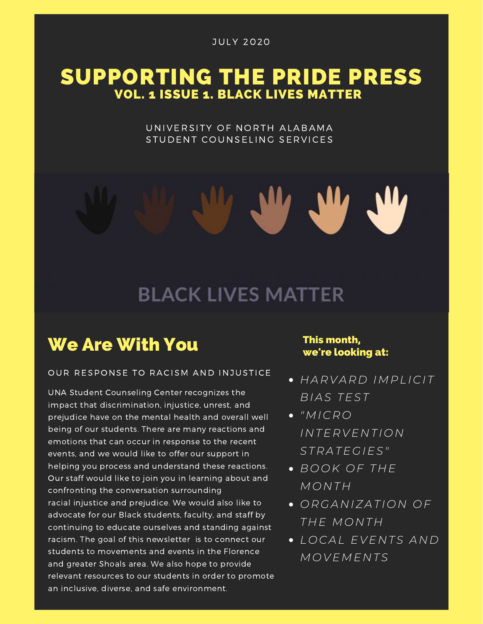### SUPPORTING THE PRIDE PRESS VOL. 1 ISSUE 1. BLACK LIVES MATTER

UNIVERSITY OF NORTH ALABAMA STUDENT COUNSELING SERVICES

# **BLACK LIVES MATTER**

### We Are With You

#### OUR RESPONSE TO RACISM AND INJUSTICE

UNA Student Counseling Center recognizes the impact that discrimination, injustice, unrest, and prejudice have on the mental health and overall well being of our students. There are many reactions and emotions that can occur in response to the recent events, and we would like to offer our support in helping you process and understand these reactions. Our staff would like to join you in learning about and confronting the conversation surrounding racial injustice and prejudice. We would also like to advocate for our Black students, faculty, and staff by continuing to educate ourselves and standing against racism. The goal of this newsletter is to connect our students to movements and events in the Florence and greater Shoals area. We also hope to provide relevant resources to our students in order to promote an inclusive, diverse, and safe environment.

#### This month, we're looking at:

- *H A R V A R D IMP L I C I T BI A S TEST*
- $\bullet$  "*MICRO I N TE R VE N T I O N ST R A TEGIES"*
- $\bullet$  *BOOK OF THE MO N T H*
- *O RGA N IZ A T I O N O F T H E MO N T H*
- *L O C A L EVE N TS A N D MO VEME N TS*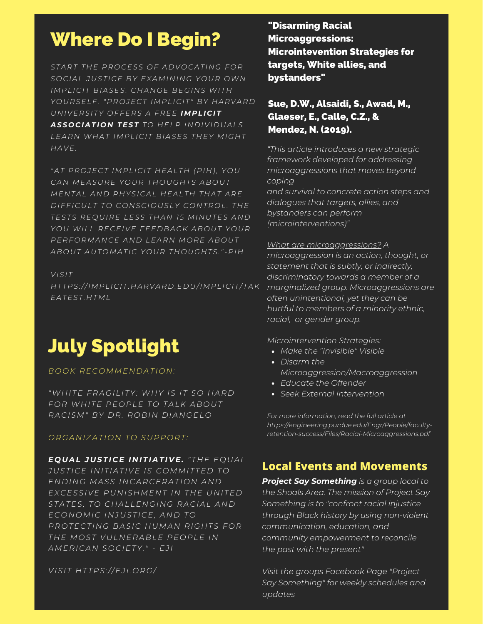## Where Do I Begin?

START THE PROCESS OF ADVOCATING FOR *S O C I A L JUST I C E BY EX AMI N I N G Y O UR OWN IMP L I C I T BI A SES. C H A N GE BEGI N S WI T H* YOURSELF. "PROJECT IMPLICIT" BY HARVARD *U N IVE R SI TY O FFE R S A F R EE IMP LI C IT ASS O C IATI O N TEST T O H EL P I N D IVI D UA LS LE A R N WH A T IMP L I C I T BI A SES T H EY MIG H T H A VE.*

"AT PROJECT IMPLICIT HEALTH (PIH), YOU *C A N ME A SUR E Y O UR T H O UG H TS AB O UT* MENTAL AND PHYSICAL HEALTH THAT ARE DIFFICULT TO CONSCIOUSLY CONTROL. THE *TESTS R E Q UI R E LESS T H A N 1 5 MI N UTES A N D Y O U WI L L R E C EIVE FEE D BA C K AB O UT Y O UR P E R F O RMA N C E A N D LE A R N MO R E AB O UT AB O UT AUT OMA T I C Y O UR T H O UG H TS."- P I H*

*VISI T* HTTPS://IMPLICIT.HARVARD.EDU/IMPLICIT/TAK *E A TEST . H TML*

# July Spotlight

#### *B O O K R E C OMME N D A T I O N :*

*"WH I TE F R AGI L I TY: WH Y IS I T S O H A R D F O R WH I TE P E O P LE T O T A L K AB O UT R A C ISM" BY D R . R O BI N D I A N GEL O*

#### *O RGA N IZ A T I O N T O SUP P O R T :*

*E Q UAL JUSTI C E I N ITIATI V E. " T H E E Q UA L JUST I C E I N I T I A T IVE IS C OMMI T TE D T O*  $E$  *MDING MASS INCARCERATION AND EX C ESSIVE PU N IS HME N T I N T H E U N I TE D ST A TES, T O C H A L LE N GI N G R A C I A L A N D E C O N OMI C I N JUST I C E, A N D T O P R O TE C T I N G BA SI C H UMA N R IG H TS F O R T H E MO ST VUL N E R ABLE P E O P LE I N AME R I C A N S O C IETY." - EJ I*

*VISI T H T T P S://EJ I . O RG/*

#### "Disarming Racial Microaggressions: Microintevention Strategies for targets, White allies, and bystanders"

#### Sue, D.W., Alsaidi, S., Awad, M., Glaeser, E., Calle, C.Z., & Mendez, N. (2019).

*"This article introduces a new strategic framework developed for addressing microaggressions that moves beyond coping*

*and survival to concrete action steps and dialogues that targets, allies, and bystanders can perform (microinterventions)"*

#### *What are microaggressions? A*

*microaggression is an action, thought, or statement that is subtly, or indirectly, discriminatory towards a member of a marginalized group. Microaggressions are often unintentional, yet they can be hurtful to members of a minority ethnic, racial, or gender group.*

*Microintervention Strategies:*

- *Make the "Invisible" Visible*
- *Disarm the Microaggression/Macroaggression*
- *Educate the Offender*
- *Seek External Intervention*

*For more information, read the full article at https://engineering.purdue.edu/Engr/People/facultyretention-success/Files/Racial-Microaggressions.pdf*

### **Local Events and Movements**

*Project Say Something is a group local to the Shoals Area. The mission of Project Say Something is to "confront racial injustice through Black history by using non-violent communication, education, and community empowerment to reconcile the past with the present"*

*Visit the groups Facebook Page "Project Say Something" for weekly schedules and updates*